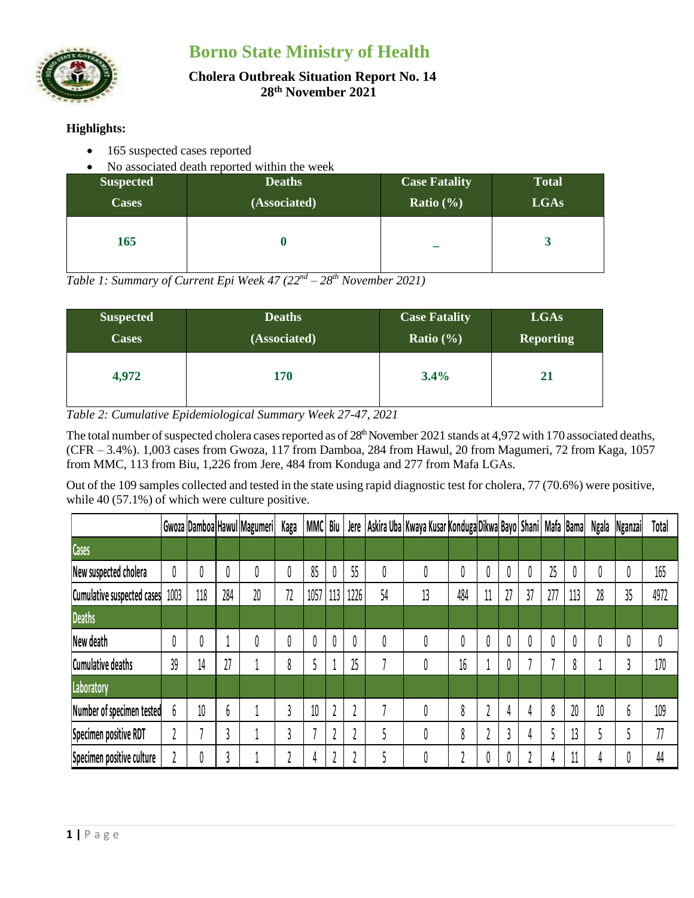



#### **Cholera Outbreak Situation Report No. 14 28 th November 2021**

# **Highlights:**

- 165 suspected cases reported
- No associated death reported within the week

| <b>Suspected</b> | <b>Deaths</b> | <b>Case Fatality</b> | <b>Total</b> |
|------------------|---------------|----------------------|--------------|
| <b>Cases</b>     | (Associated)  | Ratio $(\% )$        | <b>LGAs</b>  |
| 165              |               |                      |              |

*Table 1: Summary of Current Epi Week 47 (22nd – 28 th November 2021)*

| <b>Suspected</b> | <b>Deaths</b> | <b>Case Fatality</b> | <b>LGAs</b>      |  |  |  |
|------------------|---------------|----------------------|------------------|--|--|--|
| <b>Cases</b>     | (Associated)  | Ratio $(\% )$        | <b>Reporting</b> |  |  |  |
| 4,972            | 170           | $3.4\%$              | 21               |  |  |  |

*Table 2: Cumulative Epidemiological Summary Week 27-47, 2021*

The total number of suspected cholera cases reported as of 28<sup>th</sup> November 2021 stands at 4,972 with 170 associated deaths, (CFR – 3.4%). 1,003 cases from Gwoza, 117 from Damboa, 284 from Hawul, 20 from Magumeri, 72 from Kaga, 1057 from MMC, 113 from Biu, 1,226 from Jere, 484 from Konduga and 277 from Mafa LGAs.

Out of the 109 samples collected and tested in the state using rapid diagnostic test for cholera, 77 (70.6%) were positive, while 40 (57.1%) of which were culture positive.

|                            |      |     |     | Gwoza Damboa Hawul Magumeri | Kaga   | MMC Biu |     |      |    | Jere   Askira Uba   Kwaya Kusar Konduga Dikwa Bayo   Shani   Mafa   Bama |     |    |    |    |     |     | Ngala | <b>Nganzai</b> | Total |
|----------------------------|------|-----|-----|-----------------------------|--------|---------|-----|------|----|--------------------------------------------------------------------------|-----|----|----|----|-----|-----|-------|----------------|-------|
| Cases                      |      |     |     |                             |        |         |     |      |    |                                                                          |     |    |    |    |     |     |       |                |       |
| New suspected cholera      |      | 0   |     |                             |        | 85      |     | 55   | 0  | 0                                                                        |     | υ  | 0  |    | 25  | 0   | 0     |                | 165   |
| Cumulative suspected cases | 1003 | 118 | 284 | 20                          | 72     | 1057    | 113 | 1226 | 54 | 13                                                                       | 484 | 11 | 27 | 37 | 277 | 113 | 28    | 35             | 4972  |
| <b>Deaths</b>              |      |     |     |                             |        |         |     |      |    |                                                                          |     |    |    |    |     |     |       |                |       |
| New death                  |      | 0   |     |                             |        | 0       |     | 0    |    | 0                                                                        |     |    | 0  |    |     | 0   |       |                |       |
| <b>Cumulative deaths</b>   | 39   | 14  | 27  |                             | 0<br>Ō |         |     | 25   |    | 0                                                                        | 16  |    | 0  |    |     | 8   |       |                | 170   |
| Laboratory                 |      |     |     |                             |        |         |     |      |    |                                                                          |     |    |    |    |     |     |       |                |       |
| Number of specimen tested  |      | 10  | b   |                             |        | 10      |     |      |    | 0                                                                        | 8   |    | 4  |    | 8   | 20  | 10    | h              | 109   |
| Specimen positive RDT      |      |     |     |                             |        |         |     |      |    | 0                                                                        | 8   |    | 1  |    |     | 13  |       |                | 77    |
| Specimen positive culture  |      | 0   |     |                             |        | 4       |     |      |    | 0                                                                        |     |    | 0  |    |     | 11  |       |                | 44    |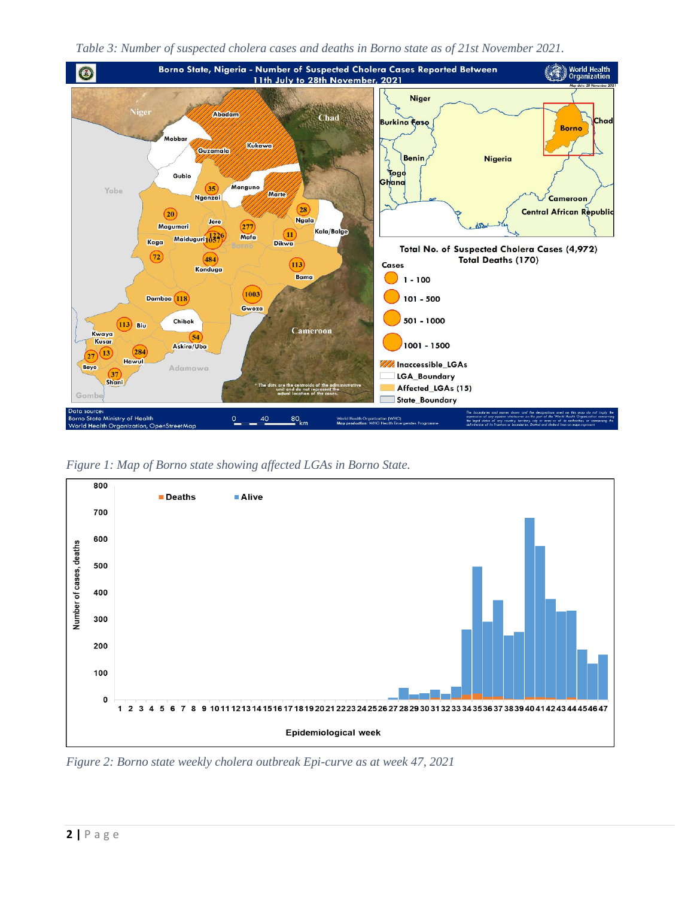



*Figure 1: Map of Borno state showing affected LGAs in Borno State.*



*Figure 2: Borno state weekly cholera outbreak Epi-curve as at week 47, 2021*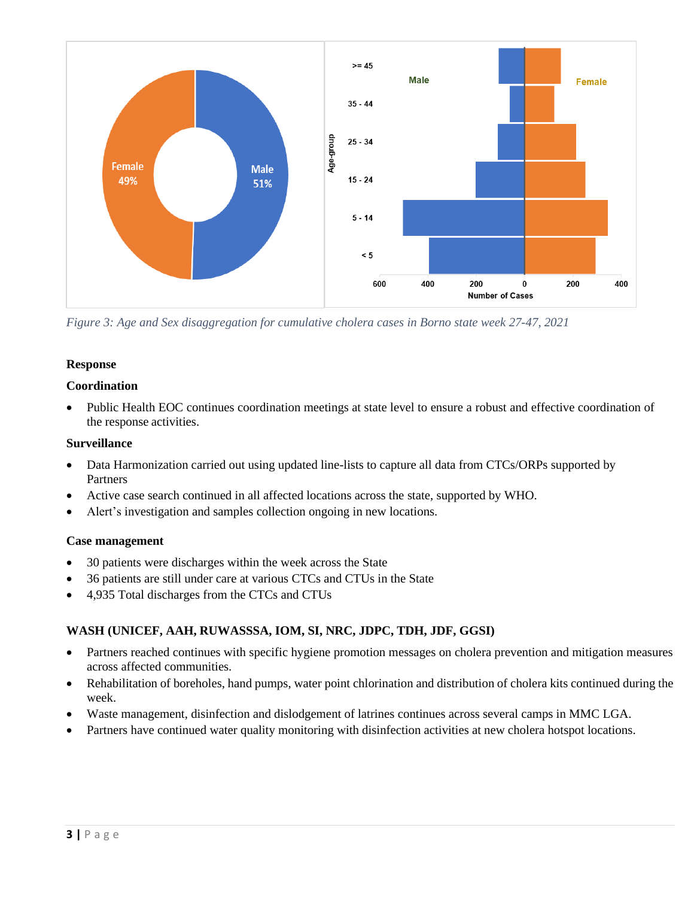

*Figure 3: Age and Sex disaggregation for cumulative cholera cases in Borno state week 27-47, 2021*

# **Response**

### **Coordination**

• Public Health EOC continues coordination meetings at state level to ensure a robust and effective coordination of the response activities.

#### **Surveillance**

- Data Harmonization carried out using updated line-lists to capture all data from CTCs/ORPs supported by Partners
- Active case search continued in all affected locations across the state, supported by WHO.
- Alert's investigation and samples collection ongoing in new locations.

### **Case management**

- 30 patients were discharges within the week across the State
- 36 patients are still under care at various CTCs and CTUs in the State
- 4,935 Total discharges from the CTCs and CTUs

# **WASH (UNICEF, AAH, RUWASSSA, IOM, SI, NRC, JDPC, TDH, JDF, GGSI)**

- Partners reached continues with specific hygiene promotion messages on cholera prevention and mitigation measures across affected communities.
- Rehabilitation of boreholes, hand pumps, water point chlorination and distribution of cholera kits continued during the week.
- Waste management, disinfection and dislodgement of latrines continues across several camps in MMC LGA.
- Partners have continued water quality monitoring with disinfection activities at new cholera hotspot locations.